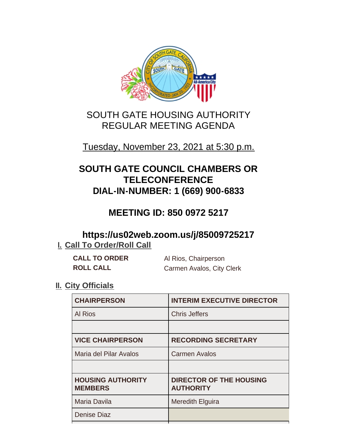

# SOUTH GATE HOUSING AUTHORITY REGULAR MEETING AGENDA

# Tuesday, November 23, 2021 at 5:30 p.m.

# **SOUTH GATE COUNCIL CHAMBERS OR TELECONFERENCE DIAL-IN-NUMBER: 1 (669) 900-6833**

# **MEETING ID: 850 0972 5217**

# **https://us02web.zoom.us/j/85009725217 I. Call To Order/Roll Call**

**CALL TO ORDER** Al Rios, Chairperson **ROLL CALL** Carmen Avalos, City Clerk

## **II.** City Officials

| <b>CHAIRPERSON</b>                         | <b>INTERIM EXECUTIVE DIRECTOR</b>                  |
|--------------------------------------------|----------------------------------------------------|
| Al Rios                                    | <b>Chris Jeffers</b>                               |
|                                            |                                                    |
| <b>VICE CHAIRPERSON</b>                    | <b>RECORDING SECRETARY</b>                         |
| Maria del Pilar Avalos                     | <b>Carmen Avalos</b>                               |
|                                            |                                                    |
| <b>HOUSING AUTHORITY</b><br><b>MEMBERS</b> | <b>DIRECTOR OF THE HOUSING</b><br><b>AUTHORITY</b> |
| Maria Davila                               | <b>Meredith Elguira</b>                            |
| <b>Denise Diaz</b>                         |                                                    |
|                                            |                                                    |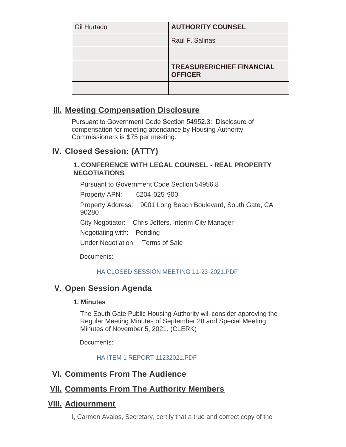| <b>Gil Hurtado</b> | <b>AUTHORITY COUNSEL</b>                           |
|--------------------|----------------------------------------------------|
|                    | Raul F. Salinas                                    |
|                    |                                                    |
|                    | <b>TREASURER/CHIEF FINANCIAL</b><br><b>OFFICER</b> |
|                    |                                                    |

#### **Meeting Compensation Disclosure III.**

Pursuant to Government Code Section 54952.3: Disclosure of compensation for meeting attendance by Housing Authority Commissioners is \$75 per meeting.

# **Closed Session: (ATTY) IV.**

#### **1. CONFERENCE WITH LEGAL COUNSEL - REAL PROPERTY NEGOTIATIONS**

Pursuant to Government Code Section 54956.8

Property APN: 6204-025-900

Property Address: 9001 Long Beach Boulevard, South Gate, CA 90280

City Negotiator: Chris Jeffers, Interim City Manager

Negotiating with: Pending

Under Negotiation: Terms of Sale

Documents:

#### HA CLOSED SESSION MEETING 11-23-2021 PDE

## **V.** Open Session Agenda

#### **1. Minutes**

The South Gate Public Housing Authority will consider approving the Regular Meeting Minutes of September 28 and Special Meeting Minutes of November 5, 2021. (CLERK)

Documents:

HA ITEM 1 REPORT 11232021.PDF

#### **<u>VI. Comments From The Audience</u>**

## **<u>VII. Comments From The Authority Members</u>**

#### **Adjournment VIII.**

I, Carmen Avalos, Secretary, certify that a true and correct copy of the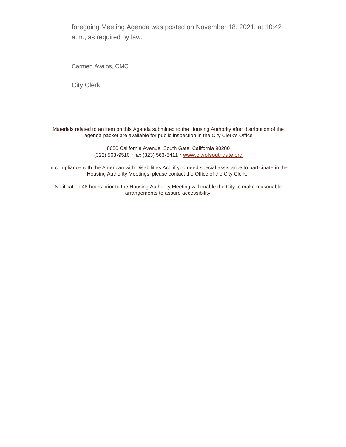foregoing Meeting Agenda was posted on November 18, 2021, at 10:42 a.m., as required by law.

Carmen Avalos, CMC

City Clerk

Materials related to an item on this Agenda submitted to the Housing Authority after distribution of the agenda packet are available for public inspection in the City Clerk's Office

> 8650 California Avenue, South Gate, California 90280 (323) 563-9510 \* fax (323) 563-5411 \* [www.cityofsouthgate.org](http://www.cityofsouthgate.org/)

In compliance with the American with Disabilities Act, if you need special assistance to participate in the Housing Authority Meetings, please contact the Office of the City Clerk.

Notification 48 hours prior to the Housing Authority Meeting will enable the City to make reasonable arrangements to assure accessibility.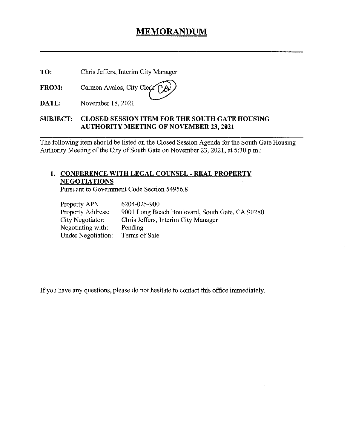## MEMORANDUM

TO: Chris Jeffers, Interim City Manager

FROM: Carmen Avalos, City Cle

DATE: November 18. 2021

#### SUBJECT: CLOSED SESSION ITEM FOR THE SOUTH GATE HOUSING AUTHORITY MEETING OF NOVEMBER 23, 2021

The following item should be listed on the Closed Session Agenda for the South Gate Housing Authority Meeting of the City of South Gate on November 23, 2021, at 5:30 p.m.:

#### 1. CONFERENCE WITH LEGAL COUNSEL - REAL PROPERTY NEGOTIATIONS

Pursuant to Government Code Section 54956.8

| Property APN:            | 6204-025-900                                    |
|--------------------------|-------------------------------------------------|
| <b>Property Address:</b> | 9001 Long Beach Boulevard, South Gate, CA 90280 |
| City Negotiator:         | Chris Jeffers, Interim City Manager             |
| Negotiating with:        | Pending                                         |
| Under Negotiation:       | Terms of Sale                                   |

If you have any questions, please do not hesitate to contact this office immediately.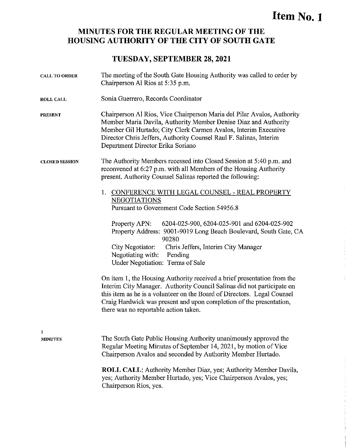# Item No. I

#### MINUTES FOR THE REGULAR MEETING OF THE HOUSING AUTHORITY OF THE CITY OF SOUTH GATE

#### TUESDAY, SEPTEMBER 28, 2021

| <b>CALL TO ORDER</b>  | The meeting of the South Gate Housing Authority was called to order by<br>Chairperson Al Rios at 5:35 p.m.                                                                                                                                                                                                                                   |  |  |
|-----------------------|----------------------------------------------------------------------------------------------------------------------------------------------------------------------------------------------------------------------------------------------------------------------------------------------------------------------------------------------|--|--|
| <b>ROLL CALL</b>      | Sonia Guerrero, Records Coordinator                                                                                                                                                                                                                                                                                                          |  |  |
| <b>PRESENT</b>        | Chairperson Al Rios, Vice Chairperson Maria del Pilar Avalos, Authority<br>Member Maria Davila, Authority Member Denise Diaz and Authority<br>Member Gil Hurtado; City Clerk Carmen Avalos, Interim Executive<br>Director Chris Jeffers, Authority Counsel Raul F. Salinas, Interim<br>Department Director Erika Soriano                     |  |  |
| <b>CLOSED SESSION</b> | The Authority Members recessed into Closed Session at 5:40 p.m. and<br>reconvened at 6:27 p.m. with all Members of the Housing Authority<br>present. Authority Counsel Salinas reported the following:                                                                                                                                       |  |  |
|                       | 1. CONFERENCE WITH LEGAL COUNSEL - REAL PROPERTY<br><b>NEGOTIATIONS</b><br>Pursuant to Government Code Section 54956.8                                                                                                                                                                                                                       |  |  |
|                       | Property APN:<br>6204-025-900, 6204-025-901 and 6204-025-902<br>Property Address: 9001-9019 Long Beach Boulevard, South Gate, CA<br>90280                                                                                                                                                                                                    |  |  |
|                       | City Negotiator:<br>Chris Jeffers, Interim City Manager<br>Negotiating with:<br>Pending<br>Under Negotiation: Terms of Sale                                                                                                                                                                                                                  |  |  |
|                       | On item 1, the Housing Authority received a brief presentation from the<br>Interim City Manager. Authority Council Salinas did not participate on<br>this item as he is a volunteer on the Board of Directors. Legal Counsel<br>Craig Hardwick was present and upon completion of the presentation,<br>there was no reportable action taken. |  |  |
| 1<br><b>MINUTES</b>   | The South Gate Public Housing Authority unanimously approved the<br>Regular Meeting Minutes of September 14, 2021, by motion of Vice<br>Chairperson Avalos and seconded by Authority Member Hurtado.                                                                                                                                         |  |  |
|                       | ROLL CALL: Authority Member Diaz, yes; Authority Member Davila,<br>yes; Authority Member Hurtado, yes; Vice Chairperson Avalos, yes;<br>Chairperson Rios, yes.                                                                                                                                                                               |  |  |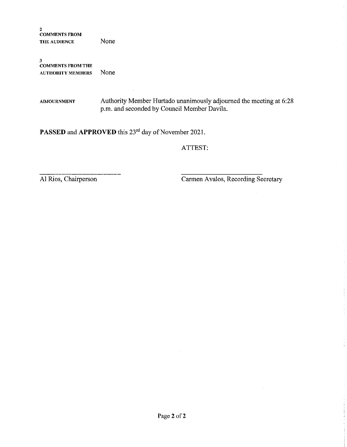2 COMMENTS FROM THE AUDIENCE None

3 COMMENTS FROM THE AUTHORITY MEMBERS None

ADJOURNMENT Authority Member Hurtado unanimously adjourned the meeting at 6:28 p.m. and seconded by Council Member Davila.

PASSED and APPROVED this 23<sup>rd</sup> day of November 2021.

ATTEST:

Al Rios, Chairperson Carmen Avalos, Recording Secretary

 $\pm$